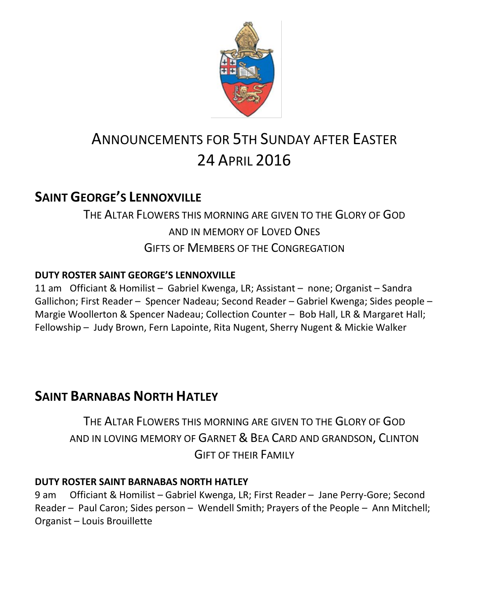

# ANNOUNCEMENTS FOR 5TH SUNDAY AFTER EASTER 24 APRIL 2016

# **SAINT GEORGE'S LENNOXVILLE**

# THE ALTAR FLOWERS THIS MORNING ARE GIVEN TO THE GLORY OF GOD AND IN MEMORY OF LOVED ONES GIFTS OF MEMBERS OF THE CONGREGATION

# **DUTY ROSTER SAINT GEORGE'S LENNOXVILLE**

11 am Officiant & Homilist – Gabriel Kwenga, LR; Assistant – none; Organist – Sandra Gallichon; First Reader – Spencer Nadeau; Second Reader – Gabriel Kwenga; Sides people – Margie Woollerton & Spencer Nadeau; Collection Counter – Bob Hall, LR & Margaret Hall; Fellowship – Judy Brown, Fern Lapointe, Rita Nugent, Sherry Nugent & Mickie Walker

# **SAINT BARNABAS NORTH HATLEY**

THE ALTAR FLOWERS THIS MORNING ARE GIVEN TO THE GLORY OF GOD AND IN LOVING MEMORY OF GARNET & BEA CARD AND GRANDSON, CLINTON GIFT OF THEIR FAMILY

## **DUTY ROSTER SAINT BARNABAS NORTH HATLEY**

9 am Officiant & Homilist – Gabriel Kwenga, LR; First Reader – Jane Perry-Gore; Second Reader – Paul Caron; Sides person – Wendell Smith; Prayers of the People – Ann Mitchell; Organist – Louis Brouillette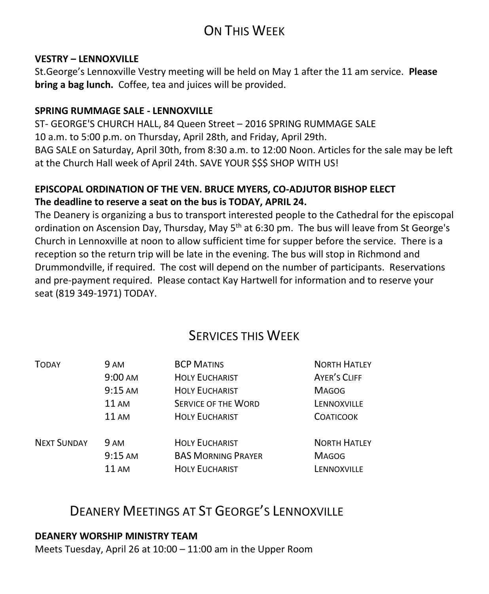# ON THIS WEEK

#### **VESTRY – LENNOXVILLE**

St.George's Lennoxville Vestry meeting will be held on May 1 after the 11 am service. **Please bring a bag lunch.** Coffee, tea and juices will be provided.

### **SPRING RUMMAGE SALE - LENNOXVILLE**

ST- GEORGE'S CHURCH HALL, 84 Queen Street – 2016 SPRING RUMMAGE SALE 10 a.m. to 5:00 p.m. on Thursday, April 28th, and Friday, April 29th. BAG SALE on Saturday, April 30th, from 8:30 a.m. to 12:00 Noon. Articles for the sale may be left at the Church Hall week of April 24th. SAVE YOUR \$\$\$ SHOP WITH US!

### **EPISCOPAL ORDINATION OF THE VEN. BRUCE MYERS, CO-ADJUTOR BISHOP ELECT The deadline to reserve a seat on the bus is TODAY, APRIL 24.**

The Deanery is organizing a bus to transport interested people to the Cathedral for the episcopal ordination on Ascension Day, Thursday, May 5th at 6:30 pm. The bus will leave from St George's Church in Lennoxville at noon to allow sufficient time for supper before the service. There is a reception so the return trip will be late in the evening. The bus will stop in Richmond and Drummondville, if required. The cost will depend on the number of participants. Reservations and pre-payment required. Please contact Kay Hartwell for information and to reserve your seat (819 349-1971) TODAY.

# SERVICES THIS WEEK

| <b>TODAY</b>       | 9 AM              | <b>BCP MATINS</b>          | <b>NORTH HATLEY</b> |
|--------------------|-------------------|----------------------------|---------------------|
|                    | $9:00 \text{ AM}$ | <b>HOLY EUCHARIST</b>      | AYER'S CLIFF        |
|                    | $9:15$ AM         | <b>HOLY EUCHARIST</b>      | <b>MAGOG</b>        |
|                    | <b>11 AM</b>      | <b>SERVICE OF THE WORD</b> | LENNOXVILLE         |
|                    | 11AM              | <b>HOLY EUCHARIST</b>      | <b>COATICOOK</b>    |
| <b>NEXT SUNDAY</b> | 9 AM              | <b>HOLY EUCHARIST</b>      | <b>NORTH HATLEY</b> |
|                    | $9:15$ AM         | <b>BAS MORNING PRAYER</b>  | <b>MAGOG</b>        |
|                    | <b>11 AM</b>      | <b>HOLY EUCHARIST</b>      | LENNOXVILLE         |

# DEANERY MEETINGS AT ST GEORGE'S LENNOXVILLE

### **DEANERY WORSHIP MINISTRY TEAM**

Meets Tuesday, April 26 at 10:00 – 11:00 am in the Upper Room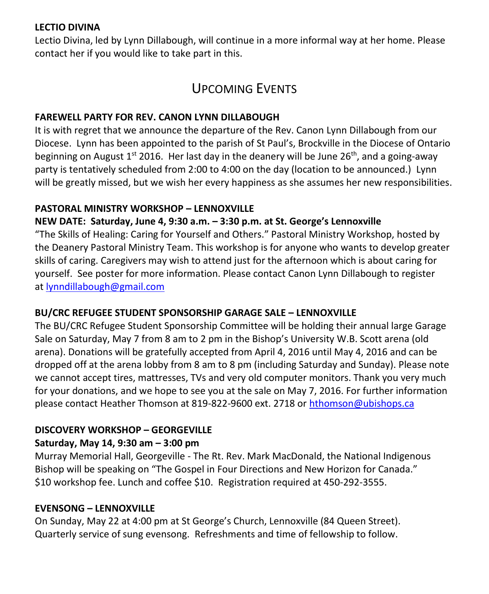### **LECTIO DIVINA**

Lectio Divina, led by Lynn Dillabough, will continue in a more informal way at her home. Please contact her if you would like to take part in this.

# UPCOMING EVENTS

### **FAREWELL PARTY FOR REV. CANON LYNN DILLABOUGH**

It is with regret that we announce the departure of the Rev. Canon Lynn Dillabough from our Diocese. Lynn has been appointed to the parish of St Paul's, Brockville in the Diocese of Ontario beginning on August  $1^{st}$  2016. Her last day in the deanery will be June  $26^{th}$ , and a going-away party is tentatively scheduled from 2:00 to 4:00 on the day (location to be announced.) Lynn will be greatly missed, but we wish her every happiness as she assumes her new responsibilities.

### **PASTORAL MINISTRY WORKSHOP – LENNOXVILLE**

### **NEW DATE: Saturday, June 4, 9:30 a.m. – 3:30 p.m. at St. George's Lennoxville**

"The Skills of Healing: Caring for Yourself and Others." Pastoral Ministry Workshop, hosted by the Deanery Pastoral Ministry Team. This workshop is for anyone who wants to develop greater skills of caring. Caregivers may wish to attend just for the afternoon which is about caring for yourself. See poster for more information. Please contact Canon Lynn Dillabough to register at [lynndillabough@gmail.com](https://webmail.ubishops.ca/owa/redir.aspx?REF=I6dyd5yngSmYqYpBD3Z6CoI9tDjv3VCrrEZ7iwAWC0jD6P34dFnTCAFodHRwczovL3dlYm1haWwudWJpc2hvcHMuY2Evb3dhL3JlZGlyLmFzcHg_U1VSTD1oZGpZVVQ3V0NVTllxRlppam96a25NSFdKM2FSeTZ2c3FUenJpbHA1Nlp0UDNfMnMtQlhUQ0cwQVlRQnBBR3dBZEFCdkFEb0FiQUI1QUc0QWJnQmtBR2tBYkFCc0FHRUFZZ0J2QUhVQVp3Qm9BRUFBWndCdEFHRUFhUUJzQUM0QVl3QnZBRzBBJlVSTD1tYWlsdG8lM2FseW5uZGlsbGFib3VnaCU0MGdtYWlsLmNvbQ..)

### **BU/CRC REFUGEE STUDENT SPONSORSHIP GARAGE SALE – LENNOXVILLE**

The BU/CRC Refugee Student Sponsorship Committee will be holding their annual large Garage Sale on Saturday, May 7 from 8 am to 2 pm in the Bishop's University W.B. Scott arena (old arena). Donations will be gratefully accepted from April 4, 2016 until May 4, 2016 and can be dropped off at the arena lobby from 8 am to 8 pm (including Saturday and Sunday). Please note we cannot accept tires, mattresses, TVs and very old computer monitors. Thank you very much for your donations, and we hope to see you at the sale on May 7, 2016. For further information please contact Heather Thomson at 819-822-9600 ext. 2718 or [hthomson@ubishops.ca](https://webmail.ubishops.ca/owa/redir.aspx?REF=Me5rsmB_ft3ki6-OrTIQVNrKAPe_ylbyz3jK4hycUBnD6P34dFnTCAFodHRwczovL3dlYm1haWwudWJpc2hvcHMuY2Evb3dhL3JlZGlyLmFzcHg_UkVGPUZMbm1vY1FIb3MxYVNTNl9pemxvV3pYei12bjk0OGh1RDBOb25XOGl3bUMxS2dTT0NsalRDQUZ0WVdsc2RHODZhSFJvYjIxemIyNUFkV0pwYzJodmNITXVZMkUu)

### **DISCOVERY WORKSHOP – GEORGEVILLE**

### **Saturday, May 14, 9:30 am – 3:00 pm**

Murray Memorial Hall, Georgeville - The Rt. Rev. Mark MacDonald, the National Indigenous Bishop will be speaking on "The Gospel in Four Directions and New Horizon for Canada." \$10 workshop fee. Lunch and coffee \$10. Registration required at 450-292-3555.

### **EVENSONG – LENNOXVILLE**

On Sunday, May 22 at 4:00 pm at St George's Church, Lennoxville (84 Queen Street). Quarterly service of sung evensong. Refreshments and time of fellowship to follow.